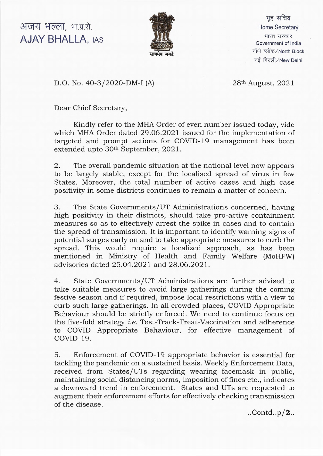**3TvtR ^fceTT, ftM .** AJAY BHALLA, ias



गह सचिव Home Secretary भारत सरकार Government of India नॉर्थ ब्लॉक/North Block नई दिल्ली/New Delhi

D.O. No. 40-3/2020-DM-I (A) 28<sup>th</sup> August, 2021

Dear Chief Secretary,

Kindly refer to the MHA Order of even number issued today, vide which MHA Order dated 29.06.2021 issued for the implementation of targeted and prompt actions for COVID-19 management has been extended upto 30th September, 2021.

2. The overall pandemic situation at the national level now appears to be largely stable, except for the localised spread of virus in few States. Moreover, the total number of active cases and high case positivity in some districts continues to remain a matter of concern.

3. The State Governments/UT Administrations concerned, having high positivity in their districts, should take pro-active containment measures so as to effectively arrest the spike in cases and to contain the spread of transmission. It is important to identify warning signs of potential surges early on and to take appropriate measures to curb the spread. This would require a localized approach, as has been mentioned in Ministry of Health and Family Welfare (MoHFW) advisories dated 25.04.2021 and 28.06.2021.

4. State Governments/UT Administrations are further advised to take suitable measures to avoid large gatherings during the coming festive season and if required, impose local restrictions with a view to curb such large gatherings. In all crowded places, COVID Appropriate Behaviour should be strictly enforced. We need to continue focus on the five-fold strategy *i.e.* Test-Track-Treat-Vaccination and adherence to COVID Appropriate Behaviour, for effective management of COVID-19.

5. Enforcement of COVID-19 appropriate behavior is essential for tackling the pandemic on a sustained basis. Weekly Enforcement Data, received from States/UTs regarding wearing facemask in public, maintaining social distancing norms, imposition of fines etc., indicates a downward trend in enforcement. States and UTs are requested to augment their enforcement efforts for effectively checking transmission of the disease.

 $...$ Contd..p/ $2$ ..